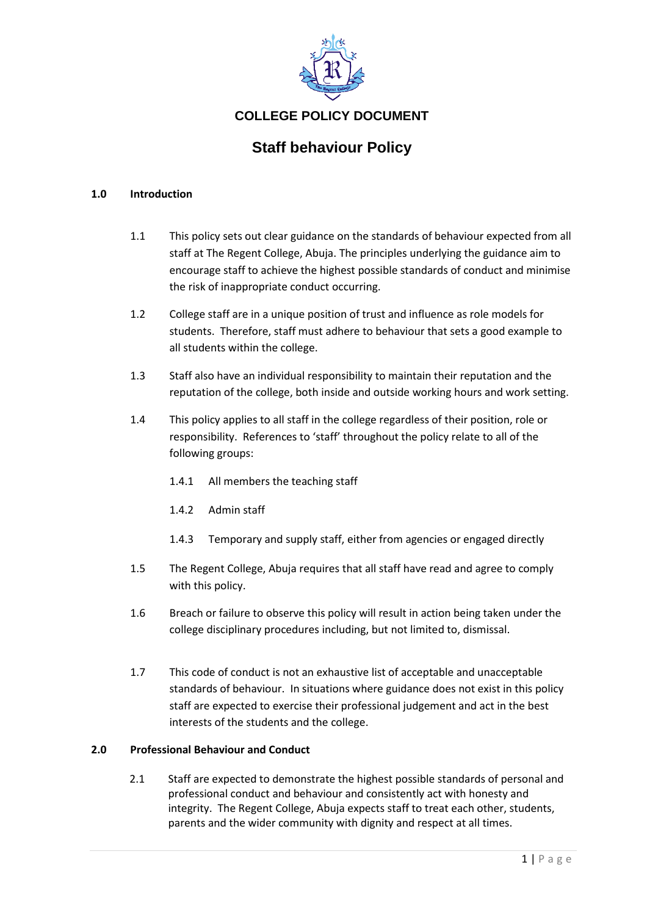

# **COLLEGE POLICY DOCUMENT**

# **Staff behaviour Policy**

#### **1.0 Introduction**

- 1.1 This policy sets out clear guidance on the standards of behaviour expected from all staff at The Regent College, Abuja. The principles underlying the guidance aim to encourage staff to achieve the highest possible standards of conduct and minimise the risk of inappropriate conduct occurring.
- 1.2 College staff are in a unique position of trust and influence as role models for students. Therefore, staff must adhere to behaviour that sets a good example to all students within the college.
- 1.3 Staff also have an individual responsibility to maintain their reputation and the reputation of the college, both inside and outside working hours and work setting.
- 1.4 This policy applies to all staff in the college regardless of their position, role or responsibility. References to 'staff' throughout the policy relate to all of the following groups:
	- 1.4.1 All members the teaching staff
	- 1.4.2 Admin staff
	- 1.4.3 Temporary and supply staff, either from agencies or engaged directly
- 1.5 The Regent College, Abuja requires that all staff have read and agree to comply with this policy.
- 1.6 Breach or failure to observe this policy will result in action being taken under the college disciplinary procedures including, but not limited to, dismissal.
- 1.7 This code of conduct is not an exhaustive list of acceptable and unacceptable standards of behaviour. In situations where guidance does not exist in this policy staff are expected to exercise their professional judgement and act in the best interests of the students and the college.

#### **2.0 Professional Behaviour and Conduct**

2.1 Staff are expected to demonstrate the highest possible standards of personal and professional conduct and behaviour and consistently act with honesty and integrity. The Regent College, Abuja expects staff to treat each other, students, parents and the wider community with dignity and respect at all times.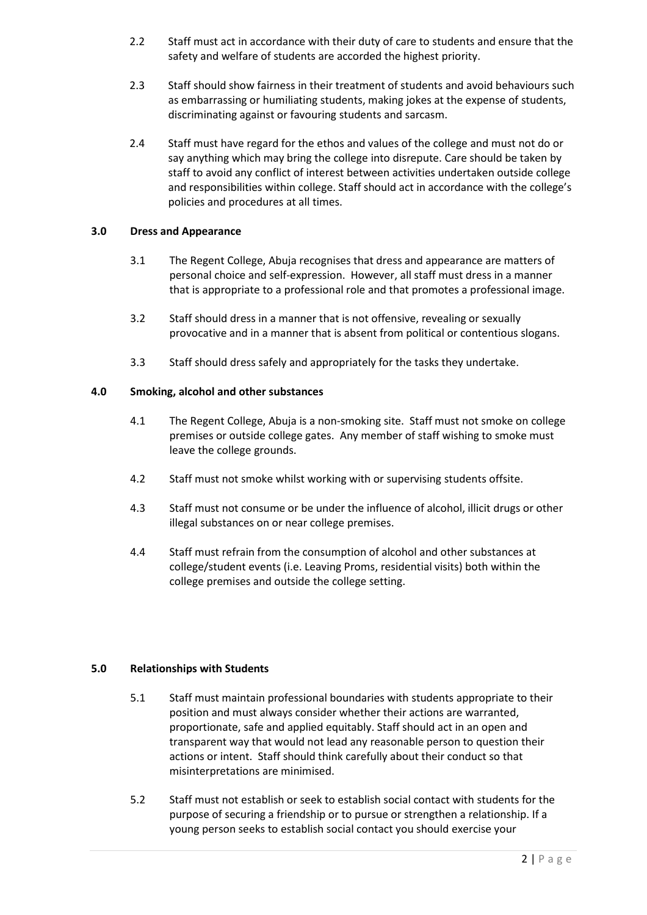- 2.2 Staff must act in accordance with their duty of care to students and ensure that the safety and welfare of students are accorded the highest priority.
- 2.3 Staff should show fairness in their treatment of students and avoid behaviours such as embarrassing or humiliating students, making jokes at the expense of students, discriminating against or favouring students and sarcasm.
- 2.4 Staff must have regard for the ethos and values of the college and must not do or say anything which may bring the college into disrepute. Care should be taken by staff to avoid any conflict of interest between activities undertaken outside college and responsibilities within college. Staff should act in accordance with the college's policies and procedures at all times.

# **3.0 Dress and Appearance**

- 3.1 The Regent College, Abuja recognises that dress and appearance are matters of personal choice and self-expression. However, all staff must dress in a manner that is appropriate to a professional role and that promotes a professional image.
- 3.2 Staff should dress in a manner that is not offensive, revealing or sexually provocative and in a manner that is absent from political or contentious slogans.
- 3.3 Staff should dress safely and appropriately for the tasks they undertake.

# **4.0 Smoking, alcohol and other substances**

- 4.1 The Regent College, Abuja is a non-smoking site. Staff must not smoke on college premises or outside college gates. Any member of staff wishing to smoke must leave the college grounds.
- 4.2 Staff must not smoke whilst working with or supervising students offsite.
- 4.3 Staff must not consume or be under the influence of alcohol, illicit drugs or other illegal substances on or near college premises.
- 4.4 Staff must refrain from the consumption of alcohol and other substances at college/student events (i.e. Leaving Proms, residential visits) both within the college premises and outside the college setting.

#### **5.0 Relationships with Students**

- 5.1 Staff must maintain professional boundaries with students appropriate to their position and must always consider whether their actions are warranted, proportionate, safe and applied equitably. Staff should act in an open and transparent way that would not lead any reasonable person to question their actions or intent. Staff should think carefully about their conduct so that misinterpretations are minimised.
- 5.2 Staff must not establish or seek to establish social contact with students for the purpose of securing a friendship or to pursue or strengthen a relationship. If a young person seeks to establish social contact you should exercise your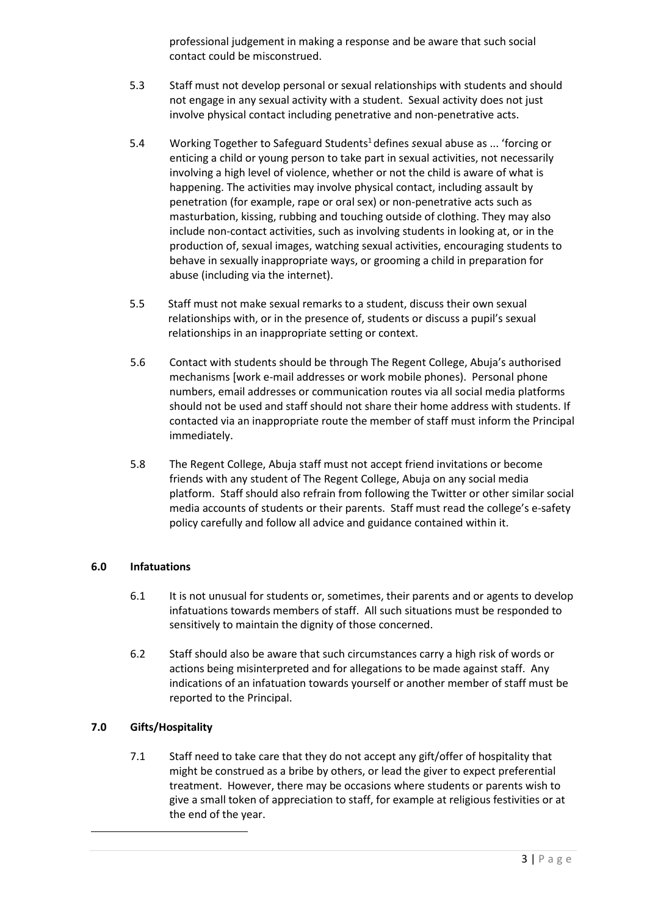professional judgement in making a response and be aware that such social contact could be misconstrued.

- 5.3 Staff must not develop personal or sexual relationships with students and should not engage in any sexual activity with a student. Sexual activity does not just involve physical contact including penetrative and non-penetrative acts.
- 5.4 Working Together to Safeguard Students<sup>1</sup> defines *s*exual abuse as ... 'forcing or enticing a child or young person to take part in sexual activities, not necessarily involving a high level of violence, whether or not the child is aware of what is happening. The activities may involve physical contact, including assault by penetration (for example, rape or oral sex) or non-penetrative acts such as masturbation, kissing, rubbing and touching outside of clothing. They may also include non-contact activities, such as involving students in looking at, or in the production of, sexual images, watching sexual activities, encouraging students to behave in sexually inappropriate ways, or grooming a child in preparation for abuse (including via the internet).
- 5.5 Staff must not make sexual remarks to a student, discuss their own sexual relationships with, or in the presence of, students or discuss a pupil's sexual relationships in an inappropriate setting or context.
- 5.6 Contact with students should be through The Regent College, Abuja's authorised mechanisms [work e-mail addresses or work mobile phones). Personal phone numbers, email addresses or communication routes via all social media platforms should not be used and staff should not share their home address with students. If contacted via an inappropriate route the member of staff must inform the Principal immediately.
- 5.8 The Regent College, Abuja staff must not accept friend invitations or become friends with any student of The Regent College, Abuja on any social media platform. Staff should also refrain from following the Twitter or other similar social media accounts of students or their parents. Staff must read the college's e-safety policy carefully and follow all advice and guidance contained within it.

# **6.0 Infatuations**

- 6.1 It is not unusual for students or, sometimes, their parents and or agents to develop infatuations towards members of staff. All such situations must be responded to sensitively to maintain the dignity of those concerned.
- 6.2 Staff should also be aware that such circumstances carry a high risk of words or actions being misinterpreted and for allegations to be made against staff. Any indications of an infatuation towards yourself or another member of staff must be reported to the Principal.

# **7.0 Gifts/Hospitality**

7.1 Staff need to take care that they do not accept any gift/offer of hospitality that might be construed as a bribe by others, or lead the giver to expect preferential treatment. However, there may be occasions where students or parents wish to give a small token of appreciation to staff, for example at religious festivities or at the end of the year.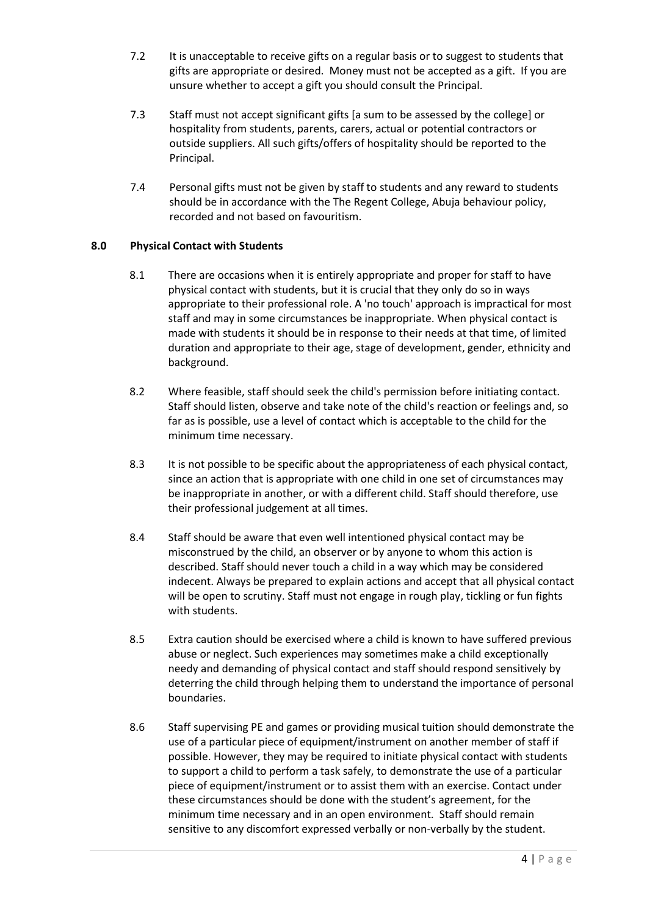- 7.2 It is unacceptable to receive gifts on a regular basis or to suggest to students that gifts are appropriate or desired. Money must not be accepted as a gift. If you are unsure whether to accept a gift you should consult the Principal.
- 7.3 Staff must not accept significant gifts [a sum to be assessed by the college] or hospitality from students, parents, carers, actual or potential contractors or outside suppliers. All such gifts/offers of hospitality should be reported to the Principal.
- 7.4 Personal gifts must not be given by staff to students and any reward to students should be in accordance with the The Regent College, Abuja behaviour policy, recorded and not based on favouritism.

# **8.0 Physical Contact with Students**

- 8.1 There are occasions when it is entirely appropriate and proper for staff to have physical contact with students, but it is crucial that they only do so in ways appropriate to their professional role. A 'no touch' approach is impractical for most staff and may in some circumstances be inappropriate. When physical contact is made with students it should be in response to their needs at that time, of limited duration and appropriate to their age, stage of development, gender, ethnicity and background.
- 8.2 Where feasible, staff should seek the child's permission before initiating contact. Staff should listen, observe and take note of the child's reaction or feelings and, so far as is possible, use a level of contact which is acceptable to the child for the minimum time necessary.
- 8.3 It is not possible to be specific about the appropriateness of each physical contact, since an action that is appropriate with one child in one set of circumstances may be inappropriate in another, or with a different child. Staff should therefore, use their professional judgement at all times.
- 8.4 Staff should be aware that even well intentioned physical contact may be misconstrued by the child, an observer or by anyone to whom this action is described. Staff should never touch a child in a way which may be considered indecent. Always be prepared to explain actions and accept that all physical contact will be open to scrutiny. Staff must not engage in rough play, tickling or fun fights with students.
- 8.5 Extra caution should be exercised where a child is known to have suffered previous abuse or neglect. Such experiences may sometimes make a child exceptionally needy and demanding of physical contact and staff should respond sensitively by deterring the child through helping them to understand the importance of personal boundaries.
- 8.6 Staff supervising PE and games or providing musical tuition should demonstrate the use of a particular piece of equipment/instrument on another member of staff if possible. However, they may be required to initiate physical contact with students to support a child to perform a task safely, to demonstrate the use of a particular piece of equipment/instrument or to assist them with an exercise. Contact under these circumstances should be done with the student's agreement, for the minimum time necessary and in an open environment. Staff should remain sensitive to any discomfort expressed verbally or non-verbally by the student.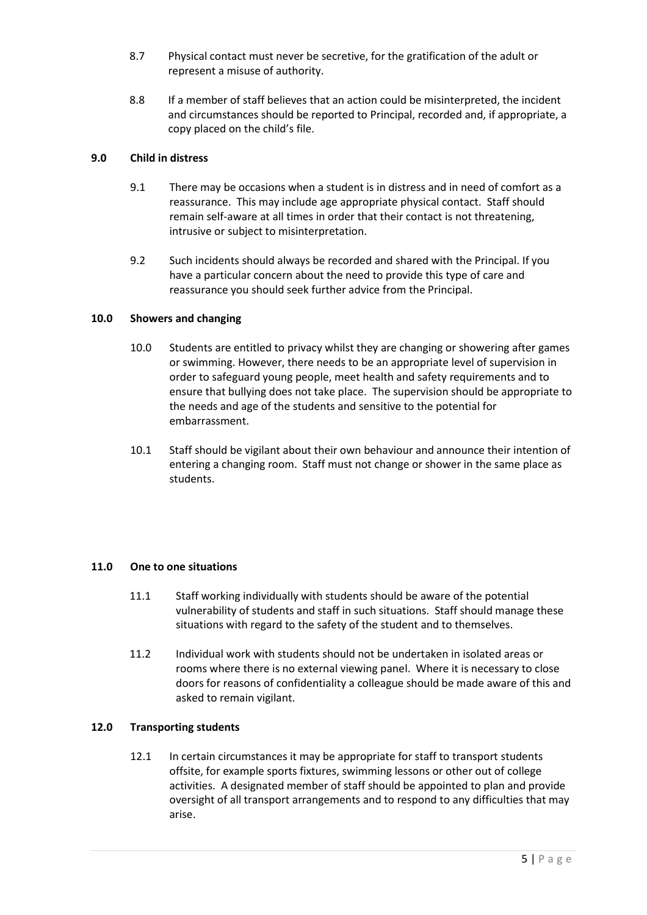- 8.7 Physical contact must never be secretive, for the gratification of the adult or represent a misuse of authority.
- 8.8 If a member of staff believes that an action could be misinterpreted, the incident and circumstances should be reported to Principal, recorded and, if appropriate, a copy placed on the child's file.

# **9.0 Child in distress**

- 9.1 There may be occasions when a student is in distress and in need of comfort as a reassurance. This may include age appropriate physical contact. Staff should remain self-aware at all times in order that their contact is not threatening, intrusive or subject to misinterpretation.
- 9.2 Such incidents should always be recorded and shared with the Principal. If you have a particular concern about the need to provide this type of care and reassurance you should seek further advice from the Principal.

# **10.0 Showers and changing**

- 10.0 Students are entitled to privacy whilst they are changing or showering after games or swimming. However, there needs to be an appropriate level of supervision in order to safeguard young people, meet health and safety requirements and to ensure that bullying does not take place. The supervision should be appropriate to the needs and age of the students and sensitive to the potential for embarrassment.
- 10.1 Staff should be vigilant about their own behaviour and announce their intention of entering a changing room. Staff must not change or shower in the same place as students.

#### **11.0 One to one situations**

- 11.1 Staff working individually with students should be aware of the potential vulnerability of students and staff in such situations. Staff should manage these situations with regard to the safety of the student and to themselves.
- 11.2 Individual work with students should not be undertaken in isolated areas or rooms where there is no external viewing panel. Where it is necessary to close doors for reasons of confidentiality a colleague should be made aware of this and asked to remain vigilant.

#### **12.0 Transporting students**

12.1 In certain circumstances it may be appropriate for staff to transport students offsite, for example sports fixtures, swimming lessons or other out of college activities. A designated member of staff should be appointed to plan and provide oversight of all transport arrangements and to respond to any difficulties that may arise.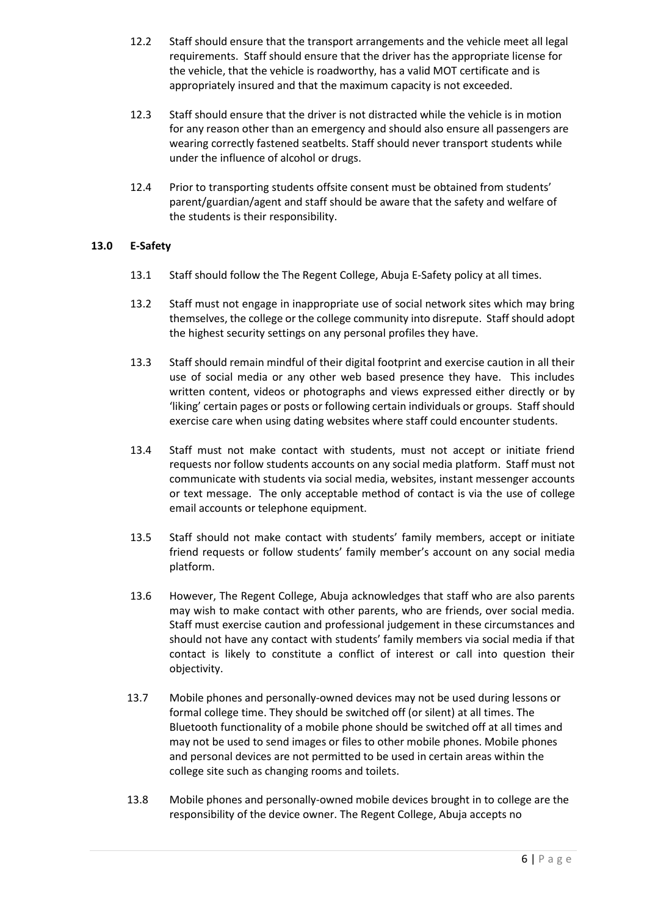- 12.2 Staff should ensure that the transport arrangements and the vehicle meet all legal requirements. Staff should ensure that the driver has the appropriate license for the vehicle, that the vehicle is roadworthy, has a valid MOT certificate and is appropriately insured and that the maximum capacity is not exceeded.
- 12.3 Staff should ensure that the driver is not distracted while the vehicle is in motion for any reason other than an emergency and should also ensure all passengers are wearing correctly fastened seatbelts. Staff should never transport students while under the influence of alcohol or drugs.
- 12.4 Prior to transporting students offsite consent must be obtained from students' parent/guardian/agent and staff should be aware that the safety and welfare of the students is their responsibility.

# **13.0 E-Safety**

- 13.1 Staff should follow the The Regent College, Abuja E-Safety policy at all times.
- 13.2 Staff must not engage in inappropriate use of social network sites which may bring themselves, the college or the college community into disrepute. Staff should adopt the highest security settings on any personal profiles they have.
- 13.3 Staff should remain mindful of their digital footprint and exercise caution in all their use of social media or any other web based presence they have. This includes written content, videos or photographs and views expressed either directly or by 'liking' certain pages or posts or following certain individuals or groups. Staff should exercise care when using dating websites where staff could encounter students.
- 13.4 Staff must not make contact with students, must not accept or initiate friend requests nor follow students accounts on any social media platform. Staff must not communicate with students via social media, websites, instant messenger accounts or text message. The only acceptable method of contact is via the use of college email accounts or telephone equipment.
- 13.5 Staff should not make contact with students' family members, accept or initiate friend requests or follow students' family member's account on any social media platform.
- 13.6 However, The Regent College, Abuja acknowledges that staff who are also parents may wish to make contact with other parents, who are friends, over social media. Staff must exercise caution and professional judgement in these circumstances and should not have any contact with students' family members via social media if that contact is likely to constitute a conflict of interest or call into question their objectivity.
- 13.7 Mobile phones and personally-owned devices may not be used during lessons or formal college time. They should be switched off (or silent) at all times. The Bluetooth functionality of a mobile phone should be switched off at all times and may not be used to send images or files to other mobile phones. Mobile phones and personal devices are not permitted to be used in certain areas within the college site such as changing rooms and toilets.
- 13.8 Mobile phones and personally-owned mobile devices brought in to college are the responsibility of the device owner. The Regent College, Abuja accepts no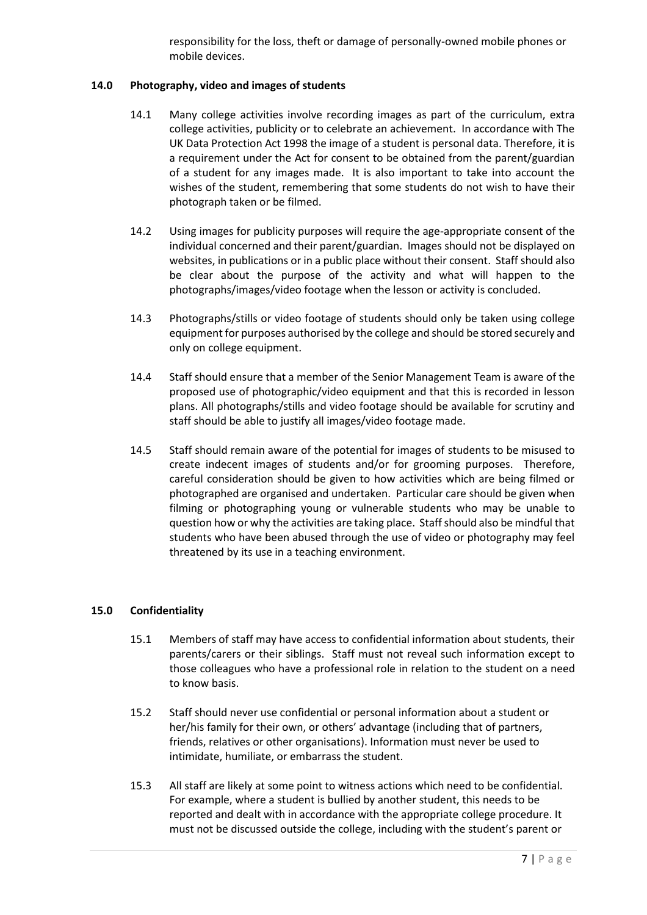responsibility for the loss, theft or damage of personally-owned mobile phones or mobile devices.

# **14.0 Photography, video and images of students**

- 14.1 Many college activities involve recording images as part of the curriculum, extra college activities, publicity or to celebrate an achievement. In accordance with The UK Data Protection Act 1998 the image of a student is personal data. Therefore, it is a requirement under the Act for consent to be obtained from the parent/guardian of a student for any images made. It is also important to take into account the wishes of the student, remembering that some students do not wish to have their photograph taken or be filmed.
- 14.2 Using images for publicity purposes will require the age-appropriate consent of the individual concerned and their parent/guardian. Images should not be displayed on websites, in publications or in a public place without their consent. Staff should also be clear about the purpose of the activity and what will happen to the photographs/images/video footage when the lesson or activity is concluded.
- 14.3 Photographs/stills or video footage of students should only be taken using college equipment for purposes authorised by the college and should be stored securely and only on college equipment.
- 14.4 Staff should ensure that a member of the Senior Management Team is aware of the proposed use of photographic/video equipment and that this is recorded in lesson plans. All photographs/stills and video footage should be available for scrutiny and staff should be able to justify all images/video footage made.
- 14.5 Staff should remain aware of the potential for images of students to be misused to create indecent images of students and/or for grooming purposes. Therefore, careful consideration should be given to how activities which are being filmed or photographed are organised and undertaken. Particular care should be given when filming or photographing young or vulnerable students who may be unable to question how or why the activities are taking place. Staff should also be mindful that students who have been abused through the use of video or photography may feel threatened by its use in a teaching environment.

# **15.0 Confidentiality**

- 15.1 Members of staff may have access to confidential information about students, their parents/carers or their siblings. Staff must not reveal such information except to those colleagues who have a professional role in relation to the student on a need to know basis.
- 15.2 Staff should never use confidential or personal information about a student or her/his family for their own, or others' advantage (including that of partners, friends, relatives or other organisations). Information must never be used to intimidate, humiliate, or embarrass the student.
- 15.3 All staff are likely at some point to witness actions which need to be confidential. For example, where a student is bullied by another student, this needs to be reported and dealt with in accordance with the appropriate college procedure. It must not be discussed outside the college, including with the student's parent or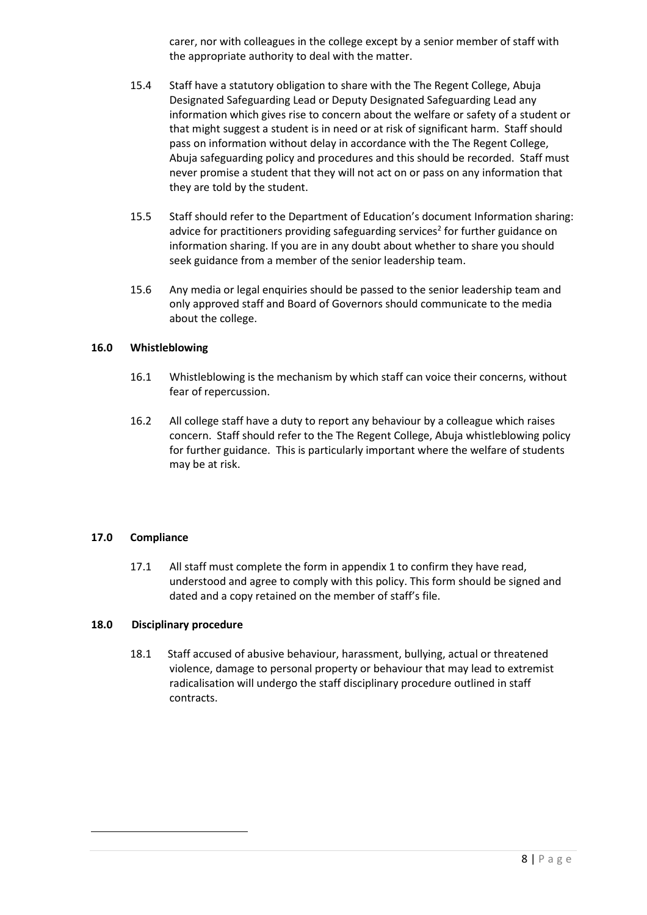carer, nor with colleagues in the college except by a senior member of staff with the appropriate authority to deal with the matter.

- 15.4 Staff have a statutory obligation to share with the The Regent College, Abuja Designated Safeguarding Lead or Deputy Designated Safeguarding Lead any information which gives rise to concern about the welfare or safety of a student or that might suggest a student is in need or at risk of significant harm. Staff should pass on information without delay in accordance with the The Regent College, Abuja safeguarding policy and procedures and this should be recorded. Staff must never promise a student that they will not act on or pass on any information that they are told by the student.
- 15.5 Staff should refer to the Department of Education's document Information sharing: advice for practitioners providing safeguarding services<sup>2</sup> for further guidance on information sharing. If you are in any doubt about whether to share you should seek guidance from a member of the senior leadership team.
- 15.6 Any media or legal enquiries should be passed to the senior leadership team and only approved staff and Board of Governors should communicate to the media about the college.

# **16.0 Whistleblowing**

- 16.1 Whistleblowing is the mechanism by which staff can voice their concerns, without fear of repercussion.
- 16.2 All college staff have a duty to report any behaviour by a colleague which raises concern. Staff should refer to the The Regent College, Abuja whistleblowing policy for further guidance. This is particularly important where the welfare of students may be at risk.

#### **17.0 Compliance**

17.1 All staff must complete the form in appendix 1 to confirm they have read, understood and agree to comply with this policy. This form should be signed and dated and a copy retained on the member of staff's file.

# **18.0 Disciplinary procedure**

18.1 Staff accused of abusive behaviour, harassment, bullying, actual or threatened violence, damage to personal property or behaviour that may lead to extremist radicalisation will undergo the staff disciplinary procedure outlined in staff contracts.